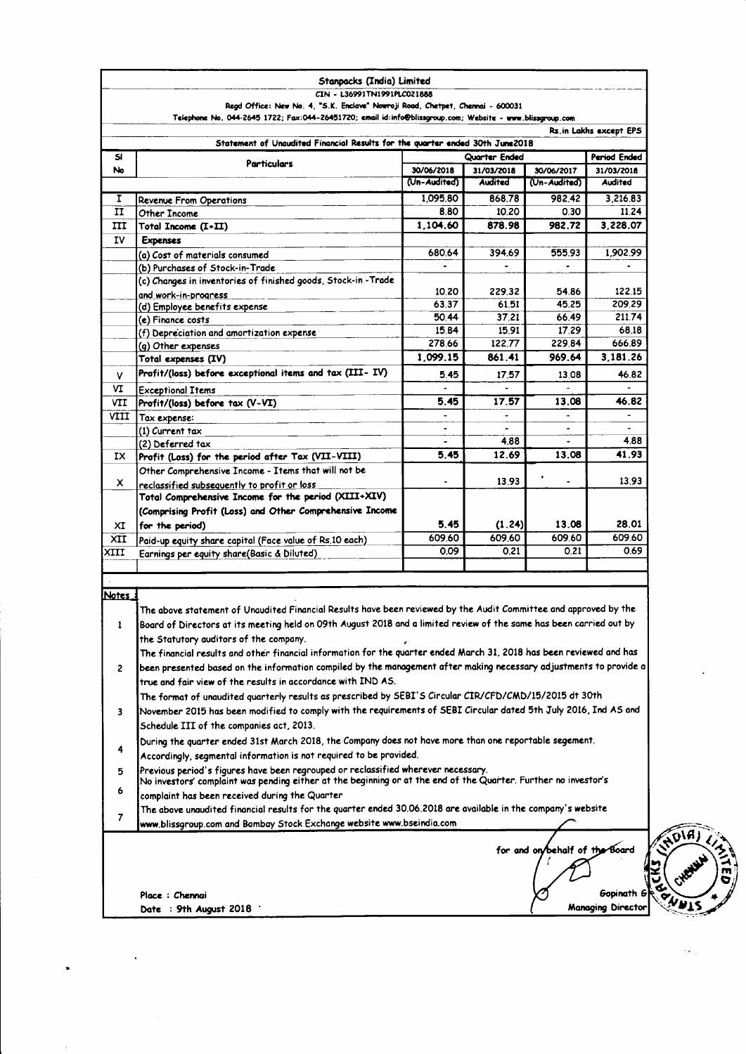|                | Stanpacks (India) Limited                                                                                                                                                                            |                                                |                 |                                |                                        |  |
|----------------|------------------------------------------------------------------------------------------------------------------------------------------------------------------------------------------------------|------------------------------------------------|-----------------|--------------------------------|----------------------------------------|--|
|                | CIN - L36991TN1991PLC021888                                                                                                                                                                          |                                                |                 |                                |                                        |  |
|                | Regd Office: New No. 4, "S.K. Enclave" Nowroji Road, Chetpet, Chennai - 600031                                                                                                                       |                                                |                 |                                |                                        |  |
|                | Telephone No. 044-2645 1722; Fax:044-26451720; email id:info@blissgroup.com; Website - www.blissgroup.com                                                                                            |                                                |                 |                                | Rs.in Lakhs except EPS                 |  |
|                | Statement of Unaudited Financial Results for the quarter ended 30th June2018                                                                                                                         |                                                |                 |                                |                                        |  |
| SI             |                                                                                                                                                                                                      | Quarter Ended                                  |                 |                                | Period Ended                           |  |
| No             | <b>Particulars</b>                                                                                                                                                                                   | 30/06/2018                                     | 31/03/2018      | 30/06/2017                     | 31/03/2018                             |  |
|                |                                                                                                                                                                                                      | (Un-Audited)                                   | <b>Audited</b>  | (Un-Audited)                   | <b>Audited</b>                         |  |
|                |                                                                                                                                                                                                      | 1.095.80                                       |                 |                                |                                        |  |
| I              | <b>Revenue From Operations</b>                                                                                                                                                                       |                                                | 868.78<br>10.20 | 982.42                         | 3.216.83                               |  |
| п              | Other Income                                                                                                                                                                                         | 8.80<br>1,104.60                               | 878.98          | 0.30                           | 11.24                                  |  |
| ш              | Total Income (I+II)                                                                                                                                                                                  |                                                |                 | 982.72                         | 3,228.07                               |  |
| IV             | <b>Expenses</b>                                                                                                                                                                                      |                                                |                 |                                |                                        |  |
|                | (a) Cost of materials consumed                                                                                                                                                                       | 680.64                                         | 394.69          | 555.93                         | 1,902.99                               |  |
|                | (b) Purchases of Stock-in-Trade                                                                                                                                                                      |                                                |                 |                                |                                        |  |
|                | (c) Changes in inventories of finished goods, Stock-in-Trade                                                                                                                                         | 10.20                                          | 229.32          | 54.86                          | 122.15                                 |  |
|                | and work-in-progress                                                                                                                                                                                 | 63.37                                          | 6151            | 45.25                          | 209.29                                 |  |
|                | (d) Employee benefits expense                                                                                                                                                                        | 50.44                                          | 37.21           | 66.49                          | 211.74                                 |  |
|                | (e) Finance costs                                                                                                                                                                                    | 15.84                                          | 15.91           | 17.29                          | 68.18                                  |  |
|                | (f) Depreciation and amortization expense<br>(g) Other expenses                                                                                                                                      | 278.66                                         | 122.77          | 229.84                         | 666.89                                 |  |
|                | Total expenses (IV)                                                                                                                                                                                  | 1,099.15                                       | 861.41          | 969.64                         | 3,181.26                               |  |
|                | Profit/(loss) before exceptional items and tax (III-IV)                                                                                                                                              |                                                |                 |                                |                                        |  |
| v              |                                                                                                                                                                                                      | 5.45                                           | 17.57           | 13.08                          | 46.82                                  |  |
| ٧I             | Exceptional Items                                                                                                                                                                                    |                                                |                 |                                |                                        |  |
| VII            | Profit/(loss) before tax (V-VI)                                                                                                                                                                      | 5.45                                           | 17.57           | 13.08                          | 46.82                                  |  |
| VIII           | Tax expense:                                                                                                                                                                                         |                                                |                 |                                | $\overline{\phantom{a}}$               |  |
|                | (1) Current tax                                                                                                                                                                                      |                                                |                 |                                |                                        |  |
|                | (2) Deferred tax                                                                                                                                                                                     |                                                | 4.88            | ÷                              | 4.88                                   |  |
| IX.            | Profit (Loss) for the period after Tax (VII-VIII)                                                                                                                                                    | 5.45                                           | 12.69           | 13.08                          | 41.93                                  |  |
|                | Other Comprehensive Income - Items that will not be                                                                                                                                                  |                                                |                 | ٠                              |                                        |  |
| x              | reclassified subsequently to profit or loss                                                                                                                                                          | ۰                                              | 13.93           | ٠                              | 13.93                                  |  |
|                | Total Comprehensive Income for the period (XIII+XIV)                                                                                                                                                 |                                                |                 |                                |                                        |  |
|                | (Comprising Profit (Loss) and Other Comprehensive Income                                                                                                                                             |                                                |                 |                                |                                        |  |
| ХI             | for the period)                                                                                                                                                                                      | 5.45                                           | (1.24)          | 13.08                          | 28.01                                  |  |
| XII            | Paid-up equity share capital (Face value of Rs.10 each)                                                                                                                                              | 609.60                                         | 609.60          | 609.60                         | 609.60                                 |  |
| XIII           | Earnings per equity share(Basic & Diluted)                                                                                                                                                           | 0.09                                           | 0.21            | 0.21                           | 0.69                                   |  |
|                |                                                                                                                                                                                                      |                                                |                 |                                |                                        |  |
|                |                                                                                                                                                                                                      |                                                |                 |                                |                                        |  |
| Notes          |                                                                                                                                                                                                      |                                                |                 |                                |                                        |  |
|                | The above statement of Unaudited Financial Results have been reviewed by the Audit Committee and approved by the                                                                                     |                                                |                 |                                |                                        |  |
| ı              | Board of Directors at its meeting held on 09th August 2018 and a limited review of the same has been carried out by                                                                                  |                                                |                 |                                |                                        |  |
|                | the Statutory auditors of the company.                                                                                                                                                               |                                                |                 |                                |                                        |  |
|                | The financial results and other financial information for the quarter ended March 31, 2018 has been reviewed and has                                                                                 |                                                |                 |                                |                                        |  |
| 2              | been presented based on the information compiled by the management after making necessary adjustments to provide a                                                                                   |                                                |                 |                                |                                        |  |
|                | true and fair view of the results in accordance with IND AS.                                                                                                                                         |                                                |                 |                                |                                        |  |
|                | The format of unaudited quarterly results as prescribed by SEBI'S Circular CIR/CFD/CMD/15/2015 dt 30th                                                                                               |                                                |                 |                                |                                        |  |
|                |                                                                                                                                                                                                      |                                                |                 |                                |                                        |  |
| 3              | November 2015 has been modified to comply with the requirements of SEBI Circular dated 5th July 2016, Ind AS and                                                                                     |                                                |                 |                                |                                        |  |
|                | Schedule III of the companies act, 2013.                                                                                                                                                             |                                                |                 |                                |                                        |  |
| 4              | During the quarter ended 31st March 2018, the Company does not have more than one reportable segement.                                                                                               |                                                |                 |                                |                                        |  |
|                | Accordingly, segmental information is not required to be provided.                                                                                                                                   |                                                |                 |                                |                                        |  |
|                | Previous period's figures have been regrouped or reclassified wherever necessary.<br>No investors' complaint was pending either at the beginning or at the end of the Quarter. Further no investor's |                                                |                 |                                |                                        |  |
| 5              |                                                                                                                                                                                                      |                                                |                 |                                |                                        |  |
|                |                                                                                                                                                                                                      | complaint has been received during the Quarter |                 |                                |                                        |  |
| 6              |                                                                                                                                                                                                      |                                                |                 |                                |                                        |  |
|                | The above unaudited financial results for the quarter ended 30.06.2018 are available in the company's website                                                                                        |                                                |                 |                                |                                        |  |
| $\overline{7}$ | www.blissgroup.com and Bombay Stock Exchange website www.bseindia.com                                                                                                                                |                                                |                 |                                |                                        |  |
|                |                                                                                                                                                                                                      |                                                |                 |                                |                                        |  |
|                |                                                                                                                                                                                                      |                                                |                 | for and on/behalf of the Board |                                        |  |
|                |                                                                                                                                                                                                      |                                                |                 |                                |                                        |  |
|                |                                                                                                                                                                                                      |                                                |                 |                                |                                        |  |
|                |                                                                                                                                                                                                      |                                                |                 |                                |                                        |  |
|                | Place : Chennai<br>Date: 9th August 2018                                                                                                                                                             |                                                |                 |                                | Gopinath G<br><b>Managing Director</b> |  |

 $\ddot{\phantom{0}}$ 

 $\overline{\phantom{a}}$ 

FOLA ジに nt2

Ü,